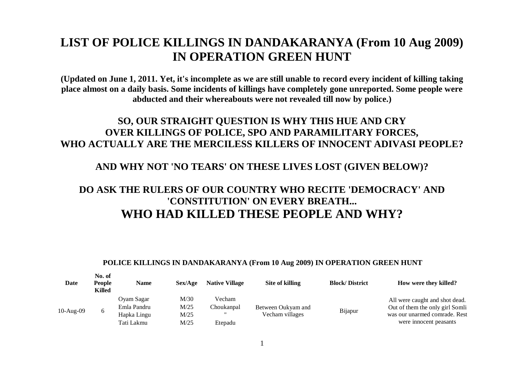# **LIST OF POLICE KILLINGS IN DANDAKARANYA (From 10 Aug 2009) IN OPERATION GREEN HUNT**

**(Updated on June 1, 2011. Yet, it's incomplete as we are still unable to record every incident of killing taking place almost on a daily basis. Some incidents of killings have completely gone unreported. Some people were abducted and their whereabouts were not revealed till now by police.)**

### **SO, OUR STRAIGHT QUESTION IS WHY THIS HUE AND CRY OVER KILLINGS OF POLICE, SPO AND PARAMILITARY FORCES, WHO ACTUALLY ARE THE MERCILESS KILLERS OF INNOCENT ADIVASI PEOPLE?**

### **AND WHY NOT 'NO TEARS' ON THESE LIVES LOST (GIVEN BELOW)?**

## **DO ASK THE RULERS OF OUR COUNTRY WHO RECITE 'DEMOCRACY' AND 'CONSTITUTION' ON EVERY BREATH... WHO HAD KILLED THESE PEOPLE AND WHY?**

#### **POLICE KILLINGS IN DANDAKARANYA (From 10 Aug 2009) IN OPERATION GREEN HUNT**

| Date        | No. of<br>People<br>Killed | Name                                     | Sex/Age              | <b>Native Village</b>                     | Site of killing                       | <b>Block/District</b> | How were they killed?                                                                              |
|-------------|----------------------------|------------------------------------------|----------------------|-------------------------------------------|---------------------------------------|-----------------------|----------------------------------------------------------------------------------------------------|
| $10-Aug-09$ | 6                          | Oyam Sagar<br>Emla Pandru<br>Hapka Lingu | M/30<br>M/25<br>M/25 | Vecham<br>Choukanpal<br>$^{\prime\prime}$ | Between Oukyam and<br>Vecham villages | Bijapur               | All were caught and shot dead.<br>Out of them the only girl Somli<br>was our unarmed comrade. Rest |
|             |                            | Tati Lakmu                               | M/25                 | Etepadu                                   |                                       |                       | were innocent peasants                                                                             |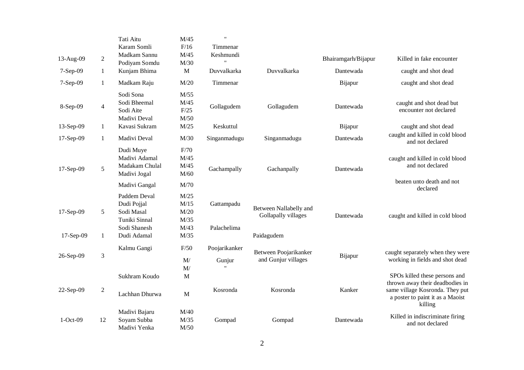| 13-Aug-09<br>7-Sep-09 | $\overline{2}$<br>$\mathbf{1}$ | Tati Aitu<br>Karam Somli<br>Madkam Sannu<br>Podiyam Somdu<br>Kunjam Bhima  | M/45<br>F/16<br>M/45<br>M/30<br>$\mathbf{M}$ | $\pmb{\mathsf{H}}$<br>Timmenar<br>Keshmundi<br>Duvvalkarka | Duvvalkarka                                   | Bhairamgarh/Bijapur<br>Dantewada | Killed in fake encounter<br>caught and shot dead                               |
|-----------------------|--------------------------------|----------------------------------------------------------------------------|----------------------------------------------|------------------------------------------------------------|-----------------------------------------------|----------------------------------|--------------------------------------------------------------------------------|
| 7-Sep-09              | $\mathbf{1}$                   | Madkam Raju                                                                | M/20                                         | Timmenar                                                   |                                               | Bijapur                          | caught and shot dead                                                           |
| 8-Sep-09              | $\overline{4}$                 | Sodi Sona<br>Sodi Bheemal<br>Sodi Aite<br>Madivi Deval                     | M/55<br>M/45<br>F/25<br>M/50                 | Gollagudem                                                 | Gollagudem                                    | Dantewada                        | caught and shot dead but<br>encounter not declared                             |
| 13-Sep-09             | 1                              | Kavasi Sukram                                                              | M/25                                         | Keskuttul                                                  |                                               | Bijapur                          | caught and shot dead                                                           |
| 17-Sep-09             | $\mathbf{1}$                   | Madivi Deval                                                               | M/30                                         | Singanmadugu                                               | Singanmadugu                                  | Dantewada                        | caught and killed in cold blood<br>and not declared                            |
| 17-Sep-09             | 5                              | Dudi Muye<br>Madivi Adamal<br>Madakam Chulal<br>Madivi Jogal               | F/70<br>M/45<br>M/45<br>M/60                 | Gachampally                                                | Gachanpally                                   | Dantewada                        | caught and killed in cold blood<br>and not declared                            |
|                       |                                | Madivi Gangal                                                              | M/70                                         |                                                            |                                               |                                  | beaten unto death and not<br>declared                                          |
| 17-Sep-09             | 5                              | Paddem Deval<br>Dudi Pojjal<br>Sodi Masal<br>Tuniki Sinnal<br>Sodi Shanesh | M/25<br>M/15<br>M/20<br>M/35<br>M/43         | Gattampadu<br>Palachelima                                  | Between Nallabelly and<br>Gollapally villages | Dantewada                        | caught and killed in cold blood                                                |
| 17-Sep-09             | 1                              | Dudi Adamal                                                                | M/35                                         |                                                            | Paidagudem                                    |                                  |                                                                                |
| 26-Sep-09             | $\mathfrak{Z}$                 | Kalmu Gangi                                                                | F/50<br>$\mathbf{M}/% \mathbf{M}$<br>M/      | Poojarikanker<br>Gunjur                                    | Between Poojarikanker<br>and Gunjur villages  | Bijapur                          | caught separately when they were<br>working in fields and shot dead            |
|                       |                                | Sukhram Koudo                                                              | M                                            |                                                            |                                               |                                  | SPOs killed these persons and<br>thrown away their deadbodies in               |
| 22-Sep-09             | $\overline{2}$                 | Lachhan Dhurwa                                                             | M                                            | Kosronda                                                   | Kosronda                                      | Kanker                           | same village Kosronda. They put<br>a poster to paint it as a Maoist<br>killing |
| $1-Oct-09$            | 12                             | Madivi Bajaru<br>Soyam Subba                                               | M/40<br>M/35                                 | Gompad                                                     | Gompad                                        | Dantewada                        | Killed in indiscriminate firing                                                |
|                       |                                | Madivi Yenka                                                               | M/50                                         |                                                            |                                               |                                  | and not declared                                                               |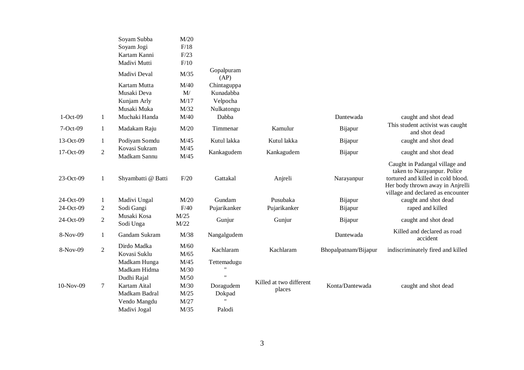|            |                | Soyam Subba<br>Soyam Jogi<br>Kartam Kanni<br>Madivi Mutti                  | M/20<br>F/18<br>F/23<br>F/10       |                                                             |                                   |                      |                                                                                                                                                                              |
|------------|----------------|----------------------------------------------------------------------------|------------------------------------|-------------------------------------------------------------|-----------------------------------|----------------------|------------------------------------------------------------------------------------------------------------------------------------------------------------------------------|
|            |                | Madivi Deval                                                               | M/35                               | Gopalpuram<br>(AP)                                          |                                   |                      |                                                                                                                                                                              |
| $1-Oct-09$ | $\mathbf{1}$   | Kartam Mutta<br>Musaki Deva<br>Kunjam Arly<br>Musaki Muka<br>Muchaki Handa | M/40<br>M/<br>M/17<br>M/32<br>M/40 | Chintaguppa<br>Kunadabba<br>Velpocha<br>Nulkatongu<br>Dabba |                                   | Dantewada            | caught and shot dead                                                                                                                                                         |
| 7-Oct-09   | $\mathbf{1}$   | Madakam Raju                                                               | M/20                               | Timmenar                                                    | Kamulur                           | Bijapur              | This student activist was caught<br>and shot dead                                                                                                                            |
| 13-Oct-09  | $\mathbf{1}$   | Podiyam Somdu                                                              | M/45                               | Kutul lakka                                                 | Kutul lakka                       | Bijapur              | caught and shot dead                                                                                                                                                         |
| 17-Oct-09  | $\overline{2}$ | Kovasi Sukram<br>Madkam Sannu                                              | M/45<br>M/45                       | Kankagudem                                                  | Kankagudem                        | Bijapur              | caught and shot dead                                                                                                                                                         |
| 23-Oct-09  | $\mathbf{1}$   | Shyambatti @ Batti                                                         | F/20                               | Gattakal                                                    | Anjreli                           | Narayanpur           | Caught in Padangal village and<br>taken to Narayanpur. Police<br>tortured and killed in cold blood.<br>Her body thrown away in Anjrelli<br>village and declared as encounter |
| 24-Oct-09  | $\mathbf{1}$   | Madivi Ungal                                                               | M/20                               | Gundam                                                      | Pusubaka                          | Bijapur              | caught and shot dead                                                                                                                                                         |
| 24-Oct-09  | $\overline{2}$ | Sodi Gangi                                                                 | F/40                               | Pujarikanker                                                | Pujarikanker                      | Bijapur              | raped and killed                                                                                                                                                             |
| 24-Oct-09  | $\sqrt{2}$     | Musaki Kosa<br>Sodi Unga                                                   | M/25<br>M/22                       | Gunjur                                                      | Gunjur                            | Bijapur              | caught and shot dead                                                                                                                                                         |
| 8-Nov-09   | $\mathbf{1}$   | Gandam Sukram                                                              | M/38                               | Nangalgudem                                                 |                                   | Dantewada            | Killed and declared as road<br>accident                                                                                                                                      |
| 8-Nov-09   | $\overline{2}$ | Dirdo Madka<br>Kovasi Suklu                                                | M/60<br>M/65                       | Kachlaram                                                   | Kachlaram                         | Bhopalpatnam/Bijapur | indiscriminately fired and killed                                                                                                                                            |
|            |                | Madkam Hunga<br>Madkam Hidma<br>Dudhi Rajal                                | M/45<br>M/30<br>M/50               | Tettemadugu<br>$^{\prime}$                                  |                                   |                      |                                                                                                                                                                              |
| 10-Nov-09  | $\tau$         | Kartam Aital<br>Madkam Badral<br>Vendo Mangdu                              | M/30<br>M/25<br>M/27<br>M/35       | Doragudem<br>Dokpad<br>Palodi                               | Killed at two different<br>places | Konta/Dantewada      | caught and shot dead                                                                                                                                                         |
|            |                | Madivi Jogal                                                               |                                    |                                                             |                                   |                      |                                                                                                                                                                              |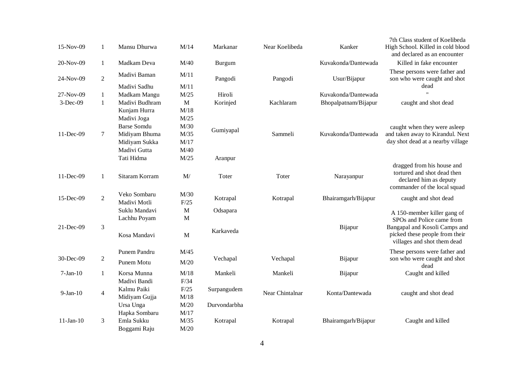| 15-Nov-09   | 1                | Mansu Dhurwa                 | M/14         | Markanar     | Near Koelibeda  | Kanker               | 7th Class student of Koelibeda<br>High School. Killed in cold blood<br>and declared as an encounter                 |
|-------------|------------------|------------------------------|--------------|--------------|-----------------|----------------------|---------------------------------------------------------------------------------------------------------------------|
| 20-Nov-09   | $\mathbf{1}$     | Madkam Deva                  | M/40         | Burgum       |                 | Kuvakonda/Dantewada  | Killed in fake encounter                                                                                            |
| 24-Nov-09   | $\overline{2}$   | Madivi Baman<br>Madivi Sadhu | M/11<br>M/11 | Pangodi      | Pangodi         | Usur/Bijapur         | These persons were father and<br>son who were caught and shot<br>dead                                               |
| 27-Nov-09   | $\mathbf{1}$     | Madkam Mangu                 | M/25         | Hiroli       |                 | Kuvakonda/Dantewada  | $\ddot{\phantom{a}}$                                                                                                |
| $3-Dec-09$  | $\mathbf{1}$     | Madivi Budhram               | $\mathbf M$  | Korinjed     | Kachlaram       | Bhopalpatnam/Bijapur | caught and shot dead                                                                                                |
|             |                  | Kunjam Hurra                 | M/18         |              |                 |                      |                                                                                                                     |
|             |                  | Madivi Joga                  | M/25         |              |                 |                      |                                                                                                                     |
|             |                  | <b>Barse Somdu</b>           | M/30         |              |                 |                      | caught when they were asleep                                                                                        |
| 11-Dec-09   | 7                | Midiyam Bhuma                | M/35         | Gumiyapal    | Sammeli         | Kuvakonda/Dantewada  | and taken away to Kirandul. Next                                                                                    |
|             |                  | Midiyam Sukka                | M/17         |              |                 |                      | day shot dead at a nearby village                                                                                   |
|             |                  | Madivi Gutta                 | M/40         |              |                 |                      |                                                                                                                     |
|             |                  | Tati Hidma                   | M/25         | Aranpur      |                 |                      |                                                                                                                     |
| 11-Dec-09   | $\mathbf{1}$     | Sitaram Korram               | M/           | Toter        | Toter           | Narayanpur           | dragged from his house and<br>tortured and shot dead then<br>declared him as deputy<br>commander of the local squad |
| 15-Dec-09   | $\overline{2}$   | Veko Sombaru<br>Madivi Motli | M/30<br>F/25 | Kotrapal     | Kotrapal        | Bhairamgarh/Bijapur  | caught and shot dead                                                                                                |
|             |                  | Suklu Mandavi                | $\mathbf M$  | Odsapara     |                 |                      |                                                                                                                     |
|             |                  | Lachhu Poyam                 | M            |              |                 |                      | A 150-member killer gang of<br>SPOs and Police came from                                                            |
| 21-Dec-09   | $\mathfrak{Z}$   | Kosa Mandavi                 | M            | Karkaveda    |                 | Bijapur              | Bangapal and Kosoli Camps and<br>picked these people from their<br>villages and shot them dead                      |
|             |                  | Punem Pandru                 | M/45         |              |                 |                      | These persons were father and                                                                                       |
| 30-Dec-09   | $\boldsymbol{2}$ | Punem Motu                   | M/20         | Vechapal     | Vechapal        | Bijapur              | son who were caught and shot<br>dead                                                                                |
| $7-Jan-10$  | $\mathbf{1}$     | Korsa Munna                  | M/18         | Mankeli      | Mankeli         | Bijapur              | Caught and killed                                                                                                   |
|             |                  | Madivi Bandi                 | F/34         |              |                 |                      |                                                                                                                     |
| $9-Jan-10$  | $\overline{4}$   | Kalmu Paiki                  | F/25         | Surpangudem  | Near Chintalnar | Konta/Dantewada      | caught and shot dead                                                                                                |
|             |                  | Midiyam Gujja                | M/18         |              |                 |                      |                                                                                                                     |
|             |                  | Ursa Unga                    | M/20         | Durvondarbha |                 |                      |                                                                                                                     |
|             |                  | Hapka Sombaru                | M/17         |              |                 |                      |                                                                                                                     |
| $11-Jan-10$ | 3                | Emla Sukku<br>Boggami Raju   | M/35<br>M/20 | Kotrapal     | Kotrapal        | Bhairamgarh/Bijapur  | Caught and killed                                                                                                   |
|             |                  |                              |              |              |                 |                      |                                                                                                                     |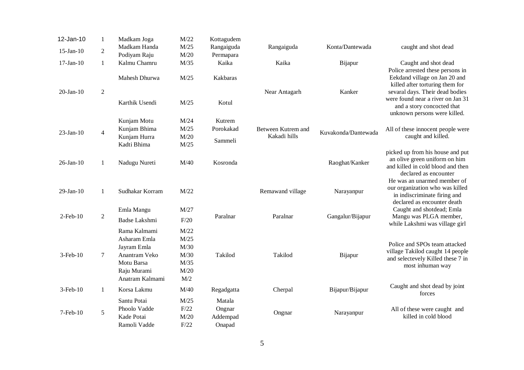| 12-Jan-10       | $\mathbf{1}$   | Madkam Joga                                                                                                  | M/22                                                | Kottagudem                             |                    |                     |                                                                                                                                    |
|-----------------|----------------|--------------------------------------------------------------------------------------------------------------|-----------------------------------------------------|----------------------------------------|--------------------|---------------------|------------------------------------------------------------------------------------------------------------------------------------|
| $15$ -Jan- $10$ | $\overline{2}$ | Madkam Handa                                                                                                 | M/25                                                | Rangaiguda                             | Rangaiguda         | Konta/Dantewada     | caught and shot dead                                                                                                               |
|                 |                | Podiyam Raju                                                                                                 | M/20                                                | Permapara                              |                    |                     |                                                                                                                                    |
| $17$ -Jan- $10$ | $\mathbf{1}$   | Kalmu Chamru                                                                                                 | M/35                                                | Kaika                                  | Kaika              | Bijapur             | Caught and shot dead                                                                                                               |
|                 |                | Mahesh Dhurwa                                                                                                | M/25                                                | Kakbaras                               |                    |                     | Police arrested these persons in<br>Eekdand village on Jan 20 and<br>killed after torturing them for                               |
| $20$ -Jan- $10$ | $\overline{2}$ | Karthik Usendi                                                                                               | M/25                                                | Kotul                                  | Near Antagarh      | Kanker              | sevaral days. Their dead bodies<br>were found near a river on Jan 31<br>and a story concocted that<br>unknown persons were killed. |
|                 |                | Kunjam Motu                                                                                                  | M/24                                                | Kutrem                                 |                    |                     |                                                                                                                                    |
|                 |                | Kunjam Bhima                                                                                                 | M/25                                                | Porokakad                              | Between Kutrem and |                     | All of these innocent people were                                                                                                  |
| $23$ -Jan-10    | $\overline{4}$ | Kunjam Hurra<br>Kadti Bhima                                                                                  | M/20<br>M/25                                        | Sammeli                                | Kakadi hills       | Kuvakonda/Dantewada | caught and killed.                                                                                                                 |
| $26$ -Jan- $10$ | $\mathbf{1}$   | Nadugu Nureti                                                                                                | M/40                                                | Kosronda                               |                    | Raoghat/Kanker      | picked up from his house and put<br>an olive green uniform on him<br>and killed in cold blood and then<br>declared as encounter    |
| $29$ -Jan- $10$ | $\mathbf{1}$   | Sudhakar Korram                                                                                              | M/22                                                |                                        | Remawand village   | Narayanpur          | He was an unarmed member of<br>our organization who was killed<br>in indiscriminate firing and<br>declared as encounter death      |
|                 |                | Emla Mangu                                                                                                   | M/27                                                |                                        |                    |                     | Caught and shotdead; Emla                                                                                                          |
| $2$ -Feb- $10$  | $\overline{2}$ | Badse Lakshmi                                                                                                | F/20                                                | Paralnar                               | Paralnar           | Gangalur/Bijapur    | Mangu was PLGA member,<br>while Lakshmi was village girl                                                                           |
| 3-Feb-10        | $\tau$         | Rama Kalmami<br>Asharam Emla<br>Jayram Emla<br>Anantram Veko<br>Motu Barsa<br>Raju Murami<br>Anatram Kalmami | M/22<br>M/25<br>M/30<br>M/30<br>M/35<br>M/20<br>M/2 | Takilod                                | Takilod            | Bijapur             | Police and SPOs team attacked<br>village Takilod caught 14 people<br>and selectevely Killed these 7 in<br>most inhuman way         |
| 3-Feb-10        | $\mathbf{1}$   | Korsa Lakmu                                                                                                  | M/40                                                | Regadgatta                             | Cherpal            | Bijapur/Bijapur     | Caught and shot dead by joint<br>forces                                                                                            |
| 7-Feb-10        | 5              | Santu Potai<br>Phoolo Vadde<br>Kade Potai<br>Ramoli Vadde                                                    | M/25<br>F/22<br>M/20<br>F/22                        | Matala<br>Ongnar<br>Addempad<br>Onapad | Ongnar             | Narayanpur          | All of these were caught and<br>killed in cold blood                                                                               |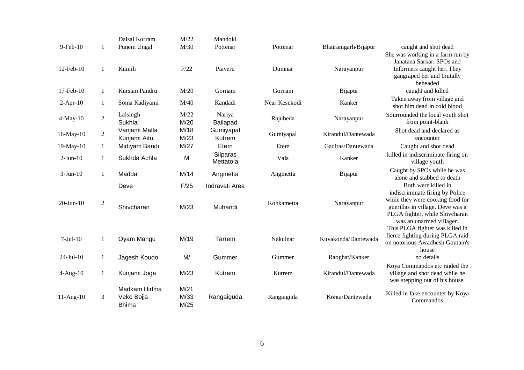|                 |                  | Dalsai Korram                              | M/22                 | Mandoki                   |               |                     |                                                                                                                                                                                              |
|-----------------|------------------|--------------------------------------------|----------------------|---------------------------|---------------|---------------------|----------------------------------------------------------------------------------------------------------------------------------------------------------------------------------------------|
| $9$ -Feb- $10$  | $\mathbf{1}$     | Punem Ungal                                | M/30                 | Pottenar                  | Pottenar      | Bhairamgarh/Bijapur | caught and shot dead<br>She was working in a farm run by                                                                                                                                     |
| 12-Feb-10       | 1                | Kumili                                     | F/22                 | Paiveru                   | Dumnar        | Narayanpur          | Janatana Sarkar. SPOs and<br>Informers caught her. They<br>gangraped her and brutally<br>beheaded                                                                                            |
| 17-Feb-10       | $\mathbf{1}$     | Kursam Pandru                              | M/20                 | Gornam                    | Gornam        | Bijapur             | caught and killed                                                                                                                                                                            |
| $2-Apr-10$      | $\mathbf{1}$     | Soma Kadiyami                              | M/40                 | Kandadi                   | Near Kesekodi | Kanker              | Taken away from village and<br>shot him dead in cold blood                                                                                                                                   |
| $4$ -May-10     | $\overline{c}$   | Lalsingh<br>Sukhlal                        | M/22<br>M/20         | Nariya<br>Bailapad        | Rajubeda      | Narayanpur          | Sourrounded the local youth shot<br>from point-blank                                                                                                                                         |
| 16-May-10       | $\overline{c}$   | Vanjami Malla<br>Kunjami Aitu              | M/18<br>M/23         | Gumiyapal<br>Kutrem       | Gumiyapal     | Kirandul/Dantewada  | Shot dead and declared as<br>encounter                                                                                                                                                       |
| 19-May-10       | $\mathbf{1}$     | Midiyam Bandi                              | M/27                 | Etem                      | Etem          | Gadiras/Dantewada   | Caught and shot dead                                                                                                                                                                         |
| $2-Jun-10$      | $\mathbf{1}$     | Sukhda Achla                               | M                    | Silparas<br>Mettatola     | Vala          | Kanker              | killed in indiscriminate firing on<br>village youth                                                                                                                                          |
| $3-Jun-10$      | $\mathbf{1}$     | Maddal                                     | M/14                 | Angmetta                  | Angmetta      | Bijapur             | Caught by SPOs while he was<br>alone and stabbed to death                                                                                                                                    |
| $20$ -Jun- $10$ | $\boldsymbol{2}$ | Deve<br>Shivcharan                         | F/25<br>M/23         | Indravati Area<br>Muhandi | Kohkametta    | Narayanpur          | Both were killed in<br>indiscriminate firing by Police<br>while they were cooking food for<br>guerillas in village. Deve was a<br>PLGA fighter, while Shivcharan<br>was an unarmed villager. |
| $7-Jul-10$      | $\mathbf{1}$     | Oyam Mangu                                 | M/19                 | Tarrem                    | Nakulnar      | Kuvakonda/Dantewada | This PLGA fighter was killed in<br>fierce fighting during PLGA raid<br>on notorious Awadhesh Goutam's<br>house                                                                               |
| $24-Jul-10$     | $\mathbf{1}$     | Jagesh Koudo                               | M/                   | Gummer                    | Gummer        | Raoghat/Kanker      | no details                                                                                                                                                                                   |
| $4-Aug-10$      | $\mathbf{1}$     | Kunjami Joga                               | M/23                 | Kutrem                    | Kutrem        | Kirandul/Dantewada  | Koya Commandos etc raided the<br>village and shot dead while he<br>was stepping out of his house.                                                                                            |
| $11-Aug-10$     | 3                | Madkam Hidma<br>Veko Bojja<br><b>Bhima</b> | M/21<br>M/33<br>M/25 | Rangaiguda                | Rangaiguda    | Konta/Dantewada     | Killed in fake encounter by Koya<br>Commandos                                                                                                                                                |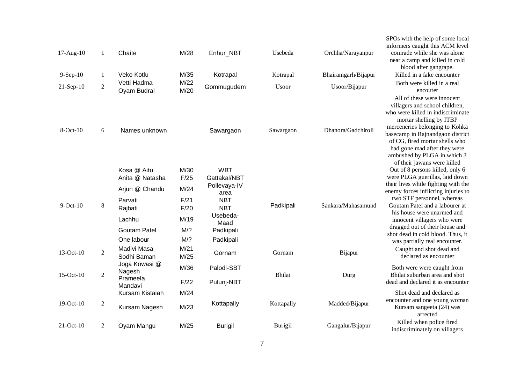| 17-Aug-10<br>9-Sep-10<br>$21-Sep-10$ | $\mathbf{1}$<br>$\mathbf{1}$<br>$\sqrt{2}$ | Chaite<br>Veko Kotlu<br>Vetti Hadma<br>Oyam Budral                                                                                                  | M/28<br>M/35<br>M/22<br>M/20                                               | Enhur_NBT<br>Kotrapal<br>Gommugudem                                                                                                    | Usebeda<br>Kotrapal<br>Usoor | Orchha/Narayanpur<br>Bhairamgarh/Bijapur<br>Usoor/Bijapur | SPOs with the help of some local<br>informers caught this ACM level<br>comrade while she was alone<br>near a camp and killed in cold<br>blood after gangrape.<br>Killed in a fake encounter<br>Both were killed in a real<br>encouter                                                                                                                                                                                                     |
|--------------------------------------|--------------------------------------------|-----------------------------------------------------------------------------------------------------------------------------------------------------|----------------------------------------------------------------------------|----------------------------------------------------------------------------------------------------------------------------------------|------------------------------|-----------------------------------------------------------|-------------------------------------------------------------------------------------------------------------------------------------------------------------------------------------------------------------------------------------------------------------------------------------------------------------------------------------------------------------------------------------------------------------------------------------------|
| $8$ -Oct- $10$                       | 6                                          | Names unknown                                                                                                                                       |                                                                            | Sawargaon                                                                                                                              | Sawargaon                    | Dhanora/Gadchiroli                                        | All of these were innocent<br>villagers and school children,<br>who were killed in indiscriminate<br>mortar shelling by ITBP<br>merceneries belonging to Kohka<br>basecamp in Rajnandgaon district<br>of CG, fired mortar shells who<br>had gone mad after they were<br>ambushed by PLGA in which 3<br>of their jawans were killed                                                                                                        |
| $9$ -Oct- $10$<br>13-Oct-10          | 8<br>$\overline{2}$                        | Kosa @ Aitu<br>Anita @ Natasha<br>Arjun @ Chandu<br>Parvati<br>Rajbati<br>Lachhu<br><b>Goutam Patel</b><br>One labour<br>Madivi Masa<br>Sodhi Baman | M/30<br>F/25<br>M/24<br>F/21<br>F/20<br>M/19<br>M/?<br>M/?<br>M/21<br>M/25 | <b>WBT</b><br>Gattakal/NBT<br>Pollevaya-IV<br>area<br><b>NBT</b><br><b>NBT</b><br>Usebeda-<br>Maad<br>Padkipali<br>Padkipali<br>Gornam | Padkipali<br>Gornam          | Sankara/Mahasamund<br>Bijapur                             | Out of 8 persons killed, only 6<br>were PLGA guerillas, laid down<br>their lives while fighting with the<br>enemy forces inflicting injuries to<br>two STF personnel, whereas<br>Goutam Patel and a labourer at<br>his house were unarmed and<br>innocent villagers who were<br>dragged out of their house and<br>shot dead in cold blood. Thus, it<br>was partially real encounter.<br>Caught and shot dead and<br>declared as encounter |
| $15$ -Oct- $10$                      | $\overline{2}$                             | Joga Kowasi @<br>Nagesh<br>Prameela<br>Mandavi                                                                                                      | M/36<br>F/22                                                               | Palodi-SBT<br>Pulunj-NBT                                                                                                               | Bhilai                       | Durg                                                      | Both were were caught from<br>Bhilai suburban area and shot<br>dead and declared it as encounter                                                                                                                                                                                                                                                                                                                                          |
| 19-Oct-10                            | $\sqrt{2}$                                 | Kursam Kistaiah<br>Kursam Nagesh                                                                                                                    | M/24<br>M/23                                                               | Kottapally                                                                                                                             | Kottapally                   | Madded/Bijapur                                            | Shot dead and declared as<br>encounter and one young woman<br>Kursam sangeeta (24) was<br>arrected                                                                                                                                                                                                                                                                                                                                        |
| $21-Oct-10$                          | $\overline{2}$                             | Oyam Mangu                                                                                                                                          | M/25                                                                       | <b>Burigil</b>                                                                                                                         | Burigil                      | Gangalur/Bijapur                                          | Killed when police fired<br>indiscriminately on villagers                                                                                                                                                                                                                                                                                                                                                                                 |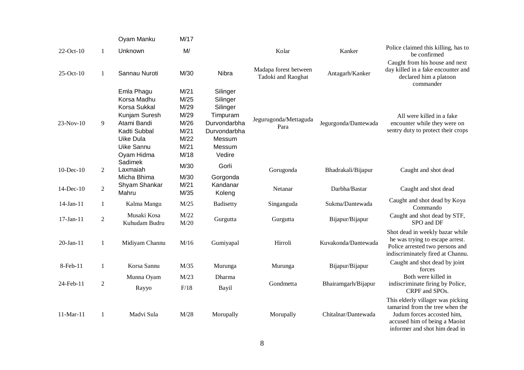|                 |                | Oyam Manku                                                                                                                                | M/17                                                                 |                                                                                                            |                                             |                      |                                                                                                                                                                      |
|-----------------|----------------|-------------------------------------------------------------------------------------------------------------------------------------------|----------------------------------------------------------------------|------------------------------------------------------------------------------------------------------------|---------------------------------------------|----------------------|----------------------------------------------------------------------------------------------------------------------------------------------------------------------|
| 22-Oct-10       | $\mathbf{1}$   | Unknown                                                                                                                                   | M/                                                                   |                                                                                                            | Kolar                                       | Kanker               | Police claimed this killing, has to<br>be confirmed                                                                                                                  |
| $25$ -Oct- $10$ | $\mathbf{1}$   | Sannau Nuroti                                                                                                                             | M/30                                                                 | Nibra                                                                                                      | Madapa forest between<br>Tadoki and Raoghat | Antagarh/Kanker      | Caught from his house and next<br>day killed in a fake encounter and<br>declared him a platoon<br>commander                                                          |
| 23-Nov-10       | 9              | Emla Phagu<br>Korsa Madhu<br><b>Korsa Sukkal</b><br>Kunjam Suresh<br>Atami Bandi<br>Kadti Subbal<br>Uike Dula<br>Uike Sannu<br>Oyam Hidma | M/21<br>M/25<br>M/29<br>M/29<br>M/26<br>M/21<br>M/22<br>M/21<br>M/18 | Silinger<br>Silinger<br>Silinger<br>Timpuram<br>Durvondarbha<br>Durvondarbha<br>Messum<br>Messum<br>Vedire | Jegurugonda/Mettaguda<br>Para               | Jegurgonda/Dantewada | All were killed in a fake<br>encounter while they were on<br>sentry duty to protect their crops                                                                      |
| $10$ -Dec- $10$ | $\overline{c}$ | Sadimek<br>Laxmaiah                                                                                                                       | M/30                                                                 | Gorli                                                                                                      | Gorugonda                                   | Bhadrakali/Bijapur   | Caught and shot dead                                                                                                                                                 |
| 14-Dec-10       | $\overline{2}$ | Micha Bhima<br>Shyam Shankar<br>Mahru                                                                                                     | M/30<br>M/21<br>M/35                                                 | Gorgonda<br>Kandanar<br>Koleng                                                                             | Netanar                                     | Darbha/Bastar        | Caught and shot dead                                                                                                                                                 |
| 14-Jan-11       | $\mathbf{1}$   | Kalma Mangu                                                                                                                               | M/25                                                                 | Badisetty                                                                                                  | Singanguda                                  | Sukma/Dantewada      | Caught and shot dead by Koya<br>Commando                                                                                                                             |
| 17-Jan-11       | $\overline{c}$ | Musaki Kosa<br>Kuhudam Budru                                                                                                              | M/22<br>M/20                                                         | Gurgutta                                                                                                   | Gurgutta                                    | Bijapur/Bijapur      | Caught and shot dead by STF,<br>SPO and DF                                                                                                                           |
| $20$ -Jan- $11$ | $\mathbf{1}$   | Midiyam Channu                                                                                                                            | M/16                                                                 | Gumiyapal                                                                                                  | Hirroli                                     | Kuvakonda/Dantewada  | Shot dead in weekly bazar while<br>he was trying to escape arrest.<br>Police arrested two persons and<br>indiscriminately fired at Channu.                           |
| 8-Feb-11        | 1              | Korsa Sannu                                                                                                                               | M/35                                                                 | Murunga                                                                                                    | Murunga                                     | Bijapur/Bijapur      | Caught and shot dead by joint<br>forces                                                                                                                              |
| 24-Feb-11       | $\overline{c}$ | Munna Oyam<br>Rayyo                                                                                                                       | M/23<br>F/18                                                         | Dharma<br>Bayil                                                                                            | Gondmetta                                   | Bhairamgarh/Bijapur  | Both were killed in<br>indiscriminate firing by Police,<br>CRPF and SPOs.                                                                                            |
| 11-Mar-11       | 1              | Madvi Sula                                                                                                                                | M/28                                                                 | Morupally                                                                                                  | Morupally                                   | Chitalnar/Dantewada  | This elderly villager was picking<br>tamarind from the tree when the<br>Judum forces accosted him,<br>accused him of being a Maoist<br>informer and shot him dead in |